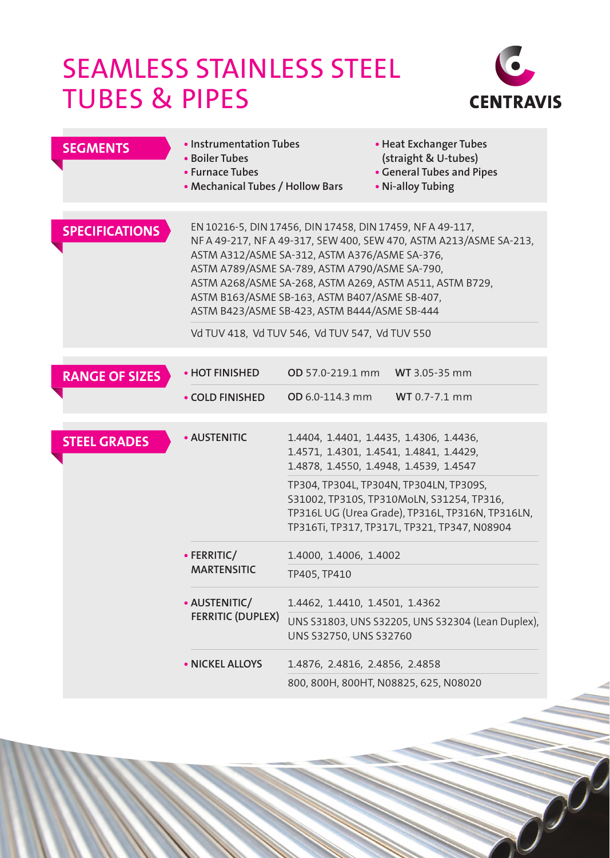## Seamless Stainless Steel Tubes & Pipes



| <b>SEGMENTS</b>       | • Instrumentation Tubes<br>• Boiler Tubes<br>• Furnace Tubes<br>• Mechanical Tubes / Hollow Bars                                                                                                                                                                                                                                                                                                                                               |                                                                                                                                                                                          | • Heat Exchanger Tubes<br>(straight & U-tubes)<br>• General Tubes and Pipes<br>• Ni-alloy Tubing |  |  |  |  |  |  |  |
|-----------------------|------------------------------------------------------------------------------------------------------------------------------------------------------------------------------------------------------------------------------------------------------------------------------------------------------------------------------------------------------------------------------------------------------------------------------------------------|------------------------------------------------------------------------------------------------------------------------------------------------------------------------------------------|--------------------------------------------------------------------------------------------------|--|--|--|--|--|--|--|
| <b>SPECIFICATIONS</b> | EN 10216-5, DIN 17456, DIN 17458, DIN 17459, NFA 49-117,<br>NF A 49-217, NF A 49-317, SEW 400, SEW 470, ASTM A213/ASME SA-213,<br>ASTM A312/ASME SA-312, ASTM A376/ASME SA-376,<br>ASTM A789/ASME SA-789, ASTM A790/ASME SA-790,<br>ASTM A268/ASME SA-268, ASTM A269, ASTM A511, ASTM B729,<br>ASTM B163/ASME SB-163, ASTM B407/ASME SB-407,<br>ASTM B423/ASME SB-423, ASTM B444/ASME SB-444<br>Vd TUV 418, Vd TUV 546, Vd TUV 547, Vd TUV 550 |                                                                                                                                                                                          |                                                                                                  |  |  |  |  |  |  |  |
| <b>RANGE OF SIZES</b> | • HOT FINISHED                                                                                                                                                                                                                                                                                                                                                                                                                                 | OD 57.0-219.1 mm                                                                                                                                                                         | WT 3.05-35 mm                                                                                    |  |  |  |  |  |  |  |
|                       | • COLD FINISHED                                                                                                                                                                                                                                                                                                                                                                                                                                | OD 6.0-114.3 mm                                                                                                                                                                          | WT 0.7-7.1 mm                                                                                    |  |  |  |  |  |  |  |
| <b>STEEL GRADES</b>   | • AUSTENITIC                                                                                                                                                                                                                                                                                                                                                                                                                                   | 1.4404, 1.4401, 1.4435, 1.4306, 1.4436,<br>1.4571, 1.4301, 1.4541, 1.4841, 1.4429,<br>1.4878, 1.4550, 1.4948, 1.4539, 1.4547                                                             |                                                                                                  |  |  |  |  |  |  |  |
|                       |                                                                                                                                                                                                                                                                                                                                                                                                                                                | TP304, TP304L, TP304N, TP304LN, TP309S,<br>S31002, TP310S, TP310MoLN, S31254, TP316,<br>TP316L UG (Urea Grade), TP316L, TP316N, TP316LN,<br>TP316Ti, TP317, TP317L, TP321, TP347, N08904 |                                                                                                  |  |  |  |  |  |  |  |
|                       | • FERRITIC/                                                                                                                                                                                                                                                                                                                                                                                                                                    | 1.4000, 1.4006, 1.4002                                                                                                                                                                   |                                                                                                  |  |  |  |  |  |  |  |
|                       | <b>MARTENSITIC</b>                                                                                                                                                                                                                                                                                                                                                                                                                             | TP405, TP410                                                                                                                                                                             |                                                                                                  |  |  |  |  |  |  |  |
|                       | • AUSTENITIC/<br><b>FERRITIC (DUPLEX)</b>                                                                                                                                                                                                                                                                                                                                                                                                      | 1.4462, 1.4410, 1.4501, 1.4362                                                                                                                                                           |                                                                                                  |  |  |  |  |  |  |  |
|                       |                                                                                                                                                                                                                                                                                                                                                                                                                                                | UNS S31803, UNS S32205, UNS S32304 (Lean Duplex),<br>UNS S32750, UNS S32760                                                                                                              |                                                                                                  |  |  |  |  |  |  |  |
|                       | • NICKEL ALLOYS                                                                                                                                                                                                                                                                                                                                                                                                                                | 1.4876, 2.4816, 2.4856, 2.4858                                                                                                                                                           |                                                                                                  |  |  |  |  |  |  |  |
|                       |                                                                                                                                                                                                                                                                                                                                                                                                                                                | 800, 800H, 800HT, N08825, 625, N08020                                                                                                                                                    |                                                                                                  |  |  |  |  |  |  |  |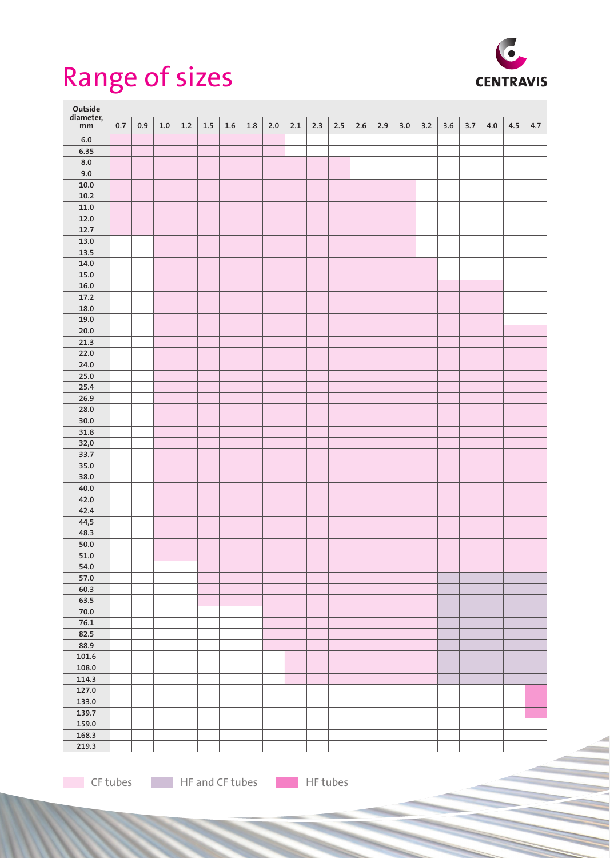## Range of sizes



| Outside         |     |     |         |     |       |         |         |       |       |     |     |         |     |         |     |     |     |     |     |     |
|-----------------|-----|-----|---------|-----|-------|---------|---------|-------|-------|-----|-----|---------|-----|---------|-----|-----|-----|-----|-----|-----|
| diameter,<br>mm | 0.7 | 0.9 | $1.0\,$ | 1.2 | $1.5$ | $1.6\,$ | $1.8\,$ | $2.0$ | $2.1$ | 2.3 | 2.5 | $2.6\,$ | 2.9 | $3.0\,$ | 3.2 | 3.6 | 3.7 | 4.0 | 4.5 | 4.7 |
|                 |     |     |         |     |       |         |         |       |       |     |     |         |     |         |     |     |     |     |     |     |
| $6.0$<br>6.35   |     |     |         |     |       |         |         |       |       |     |     |         |     |         |     |     |     |     |     |     |
| 8.0             |     |     |         |     |       |         |         |       |       |     |     |         |     |         |     |     |     |     |     |     |
| 9.0             |     |     |         |     |       |         |         |       |       |     |     |         |     |         |     |     |     |     |     |     |
| $10.0\,$        |     |     |         |     |       |         |         |       |       |     |     |         |     |         |     |     |     |     |     |     |
| 10.2            |     |     |         |     |       |         |         |       |       |     |     |         |     |         |     |     |     |     |     |     |
| 11.0            |     |     |         |     |       |         |         |       |       |     |     |         |     |         |     |     |     |     |     |     |
| 12.0            |     |     |         |     |       |         |         |       |       |     |     |         |     |         |     |     |     |     |     |     |
| 12.7            |     |     |         |     |       |         |         |       |       |     |     |         |     |         |     |     |     |     |     |     |
| 13.0            |     |     |         |     |       |         |         |       |       |     |     |         |     |         |     |     |     |     |     |     |
| 13.5            |     |     |         |     |       |         |         |       |       |     |     |         |     |         |     |     |     |     |     |     |
| 14.0            |     |     |         |     |       |         |         |       |       |     |     |         |     |         |     |     |     |     |     |     |
| $15.0\,$        |     |     |         |     |       |         |         |       |       |     |     |         |     |         |     |     |     |     |     |     |
| $16.0\,$        |     |     |         |     |       |         |         |       |       |     |     |         |     |         |     |     |     |     |     |     |
| 17.2            |     |     |         |     |       |         |         |       |       |     |     |         |     |         |     |     |     |     |     |     |
| 18.0            |     |     |         |     |       |         |         |       |       |     |     |         |     |         |     |     |     |     |     |     |
| 19.0            |     |     |         |     |       |         |         |       |       |     |     |         |     |         |     |     |     |     |     |     |
| 20.0            |     |     |         |     |       |         |         |       |       |     |     |         |     |         |     |     |     |     |     |     |
| 21.3            |     |     |         |     |       |         |         |       |       |     |     |         |     |         |     |     |     |     |     |     |
| 22.0            |     |     |         |     |       |         |         |       |       |     |     |         |     |         |     |     |     |     |     |     |
| 24.0            |     |     |         |     |       |         |         |       |       |     |     |         |     |         |     |     |     |     |     |     |
| 25.0            |     |     |         |     |       |         |         |       |       |     |     |         |     |         |     |     |     |     |     |     |
| 25.4            |     |     |         |     |       |         |         |       |       |     |     |         |     |         |     |     |     |     |     |     |
| 26.9            |     |     |         |     |       |         |         |       |       |     |     |         |     |         |     |     |     |     |     |     |
| 28.0            |     |     |         |     |       |         |         |       |       |     |     |         |     |         |     |     |     |     |     |     |
| 30.0            |     |     |         |     |       |         |         |       |       |     |     |         |     |         |     |     |     |     |     |     |
| 31.8            |     |     |         |     |       |         |         |       |       |     |     |         |     |         |     |     |     |     |     |     |
| 32,0<br>33.7    |     |     |         |     |       |         |         |       |       |     |     |         |     |         |     |     |     |     |     |     |
| 35.0            |     |     |         |     |       |         |         |       |       |     |     |         |     |         |     |     |     |     |     |     |
| 38.0            |     |     |         |     |       |         |         |       |       |     |     |         |     |         |     |     |     |     |     |     |
| 40.0            |     |     |         |     |       |         |         |       |       |     |     |         |     |         |     |     |     |     |     |     |
| 42.0            |     |     |         |     |       |         |         |       |       |     |     |         |     |         |     |     |     |     |     |     |
| 42.4            |     |     |         |     |       |         |         |       |       |     |     |         |     |         |     |     |     |     |     |     |
| 44,5            |     |     |         |     |       |         |         |       |       |     |     |         |     |         |     |     |     |     |     |     |
| 48.3            |     |     |         |     |       |         |         |       |       |     |     |         |     |         |     |     |     |     |     |     |
| $50.0\,$        |     |     |         |     |       |         |         |       |       |     |     |         |     |         |     |     |     |     |     |     |
| $51.0\,$        |     |     |         |     |       |         |         |       |       |     |     |         |     |         |     |     |     |     |     |     |
| 54.0            |     |     |         |     |       |         |         |       |       |     |     |         |     |         |     |     |     |     |     |     |
| 57.0            |     |     |         |     |       |         |         |       |       |     |     |         |     |         |     |     |     |     |     |     |
| 60.3            |     |     |         |     |       |         |         |       |       |     |     |         |     |         |     |     |     |     |     |     |
| 63.5            |     |     |         |     |       |         |         |       |       |     |     |         |     |         |     |     |     |     |     |     |
| $70.0\,$        |     |     |         |     |       |         |         |       |       |     |     |         |     |         |     |     |     |     |     |     |
| 76.1            |     |     |         |     |       |         |         |       |       |     |     |         |     |         |     |     |     |     |     |     |
| 82.5            |     |     |         |     |       |         |         |       |       |     |     |         |     |         |     |     |     |     |     |     |
| 88.9            |     |     |         |     |       |         |         |       |       |     |     |         |     |         |     |     |     |     |     |     |
| 101.6           |     |     |         |     |       |         |         |       |       |     |     |         |     |         |     |     |     |     |     |     |
| 108.0           |     |     |         |     |       |         |         |       |       |     |     |         |     |         |     |     |     |     |     |     |
| 114.3           |     |     |         |     |       |         |         |       |       |     |     |         |     |         |     |     |     |     |     |     |
| 127.0           |     |     |         |     |       |         |         |       |       |     |     |         |     |         |     |     |     |     |     |     |
| 133.0           |     |     |         |     |       |         |         |       |       |     |     |         |     |         |     |     |     |     |     |     |
| 139.7           |     |     |         |     |       |         |         |       |       |     |     |         |     |         |     |     |     |     |     |     |
| 159.0           |     |     |         |     |       |         |         |       |       |     |     |         |     |         |     |     |     |     |     |     |
| 168.3           |     |     |         |     |       |         |         |       |       |     |     |         |     |         |     |     |     |     |     |     |
| 219.3           |     |     |         |     |       |         |         |       |       |     |     |         |     |         |     |     |     |     |     |     |